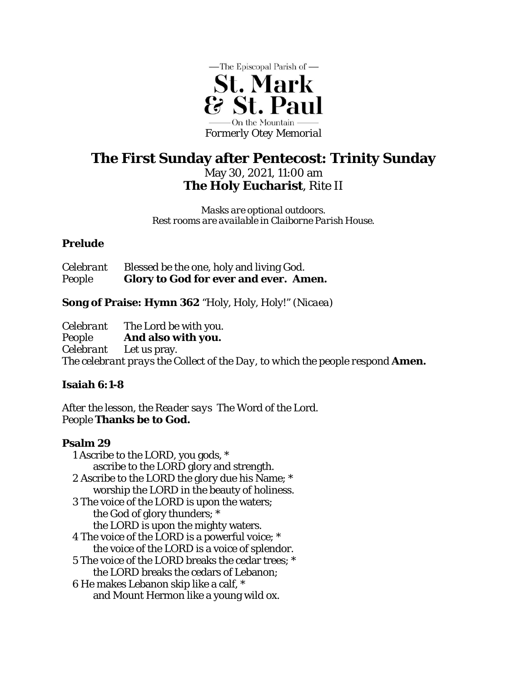

# **The First Sunday after Pentecost: Trinity Sunday** May 30, 2021, 11:00 am **The Holy Eucharist**, Rite II

*Masks are optional outdoors. Rest rooms are available in Claiborne Parish House.*

# **Prelude**

| <i>Celebrant</i> | Blessed be the one, holy and living God.     |
|------------------|----------------------------------------------|
| People           | <b>Glory to God for ever and ever. Amen.</b> |

**Song of Praise: Hymn 362** "Holy, Holy, Holy!" (*Nicaea*)

*Celebrant* The Lord be with you. *People* **And also with you.** *Celebrant* Let us pray. *The celebrant prays the Collect of the Day, to which the people respond* **Amen.** 

# **Isaiah 6:1-8**

*After the lesson, the Reader says* The Word of the Lord. *People* **Thanks be to God.** 

# **Psalm 29**

1 Ascribe to the LORD, you gods, \* ascribe to the LORD glory and strength. 2 Ascribe to the LORD the glory due his Name; \* worship the LORD in the beauty of holiness. 3 The voice of the LORD is upon the waters; the God of glory thunders; \* the LORD is upon the mighty waters. 4 The voice of the LORD is a powerful voice; \* the voice of the LORD is a voice of splendor. 5 The voice of the LORD breaks the cedar trees; \* the LORD breaks the cedars of Lebanon; 6 He makes Lebanon skip like a calf, \* and Mount Hermon like a young wild ox.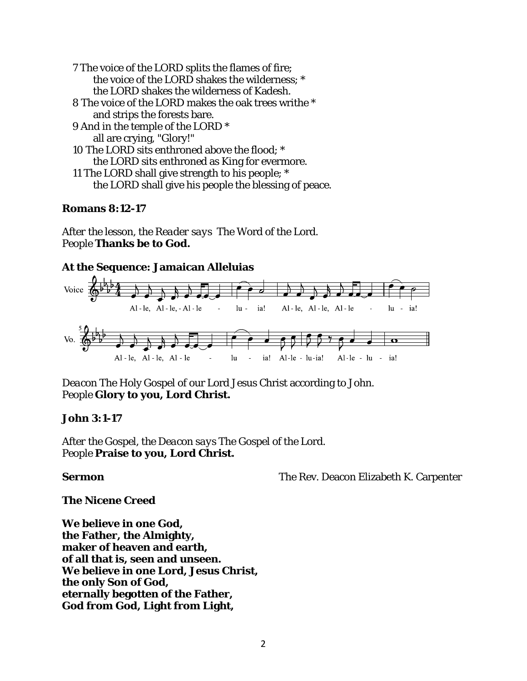| 7 The voice of the LORD splits the flames of fire;    |  |
|-------------------------------------------------------|--|
| the voice of the LORD shakes the wilderness: *        |  |
| the LORD shakes the wilderness of Kadesh.             |  |
| 8 The voice of the LORD makes the oak trees writhe *  |  |
| and strips the forests bare.                          |  |
| 9 And in the temple of the LORD *                     |  |
| all are crying, "Glory!"                              |  |
| 10 The LORD sits enthroned above the flood; *         |  |
| the LORD sits enthroned as King for evermore.         |  |
| 11 The LORD shall give strength to his people; *      |  |
| the LORD shall give his people the blessing of peace. |  |
|                                                       |  |

### **Romans 8:12-17**

*After the lesson, the Reader says* The Word of the Lord. *People* **Thanks be to God.** 

### **At the Sequence: Jamaican Alleluias**



*Deacon* The Holy Gospel of our Lord Jesus Christ according to John. *People* **Glory to you, Lord Christ.** 

### **John 3:1-17**

*After the Gospel, the Deacon says* The Gospel of the Lord. *People* **Praise to you, Lord Christ.** 

**Sermon Sermon The Rev. Deacon Elizabeth K. Carpenter** 

**The Nicene Creed** 

**We believe in one God, the Father, the Almighty, maker of heaven and earth, of all that is, seen and unseen. We believe in one Lord, Jesus Christ, the only Son of God, eternally begotten of the Father, God from God, Light from Light,**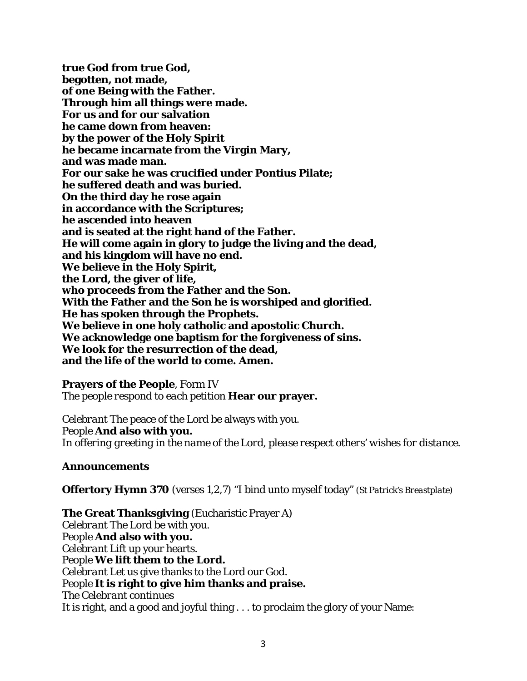**true God from true God, begotten, not made, of one Being with the Father. Through him all things were made. For us and for our salvation he came down from heaven: by the power of the Holy Spirit he became incarnate from the Virgin Mary, and was made man. For our sake he was crucified under Pontius Pilate; he suffered death and was buried. On the third day he rose again in accordance with the Scriptures; he ascended into heaven and is seated at the right hand of the Father. He will come again in glory to judge the living and the dead, and his kingdom will have no end. We believe in the Holy Spirit, the Lord, the giver of life, who proceeds from the Father and the Son. With the Father and the Son he is worshiped and glorified. He has spoken through the Prophets. We believe in one holy catholic and apostolic Church. We acknowledge one baptism for the forgiveness of sins. We look for the resurrection of the dead, and the life of the world to come. Amen.** 

**Prayers of the People**, Form IV *The people respond to each petition* **Hear our prayer.** 

*Celebrant* The peace of the Lord be always with you. *People* **And also with you.**  *In offering greeting in the name of the Lord, please respect others' wishes for distance.* 

### **Announcements**

**Offertory Hymn 370** (verses 1,2,7) "I bind unto myself today" *(St Patrick's Breastplate)*

**The Great Thanksgiving** (Eucharistic Prayer A) *Celebrant* The Lord be with you. *People* **And also with you.**  *Celebrant* Lift up your hearts. *People* **We lift them to the Lord.**  *Celebrant* Let us give thanks to the Lord our God. *People* **It is right to give him thanks and praise.**  *The Celebrant continues*  It is right, and a good and joyful thing . . . to proclaim the glory of your Name: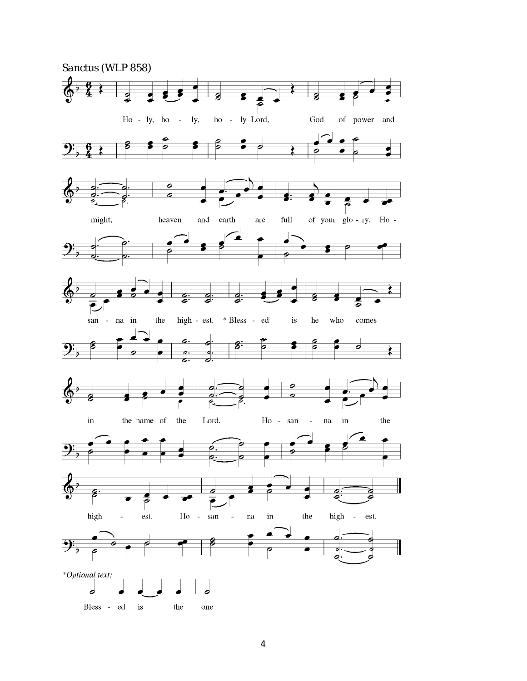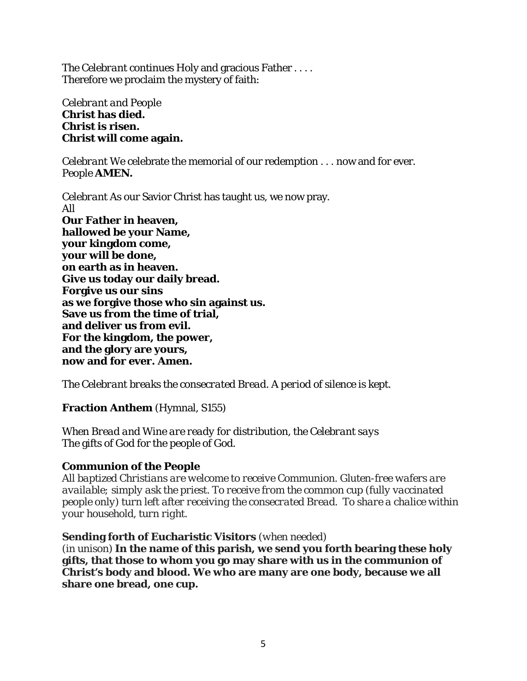*The Celebrant continues* Holy and gracious Father . . . . Therefore we proclaim the mystery of faith:

*Celebrant and People*  **Christ has died. Christ is risen. Christ will come again.** 

*Celebrant* We celebrate the memorial of our redemption . . . now and for ever. *People* **AMEN.** 

*Celebrant* As our Savior Christ has taught us, we now pray. *All*  **Our Father in heaven, hallowed be your Name, your kingdom come, your will be done, on earth as in heaven. Give us today our daily bread. Forgive us our sins as we forgive those who sin against us. Save us from the time of trial, and deliver us from evil. For the kingdom, the power, and the glory are yours, now and for ever. Amen.** 

*The Celebrant breaks the consecrated Bread. A period of silence is kept.* 

**Fraction Anthem** (Hymnal, S155)

*When Bread and Wine are ready for distribution, the Celebrant says*  The gifts of God for the people of God.

### **Communion of the People**

*All baptized Christians are welcome to receive Communion. Gluten-free wafers are available; simply ask the priest. To receive from the common cup (fully vaccinated people only) turn left after receiving the consecrated Bread. To share a chalice within your household, turn right.*

**Sending forth of Eucharistic Visitors** *(when needed)* 

(in unison) **In the name of this parish, we send you forth bearing these holy gifts, that those to whom you go may share with us in the communion of Christ's body and blood. We who are many are one body, because we all share one bread, one cup.**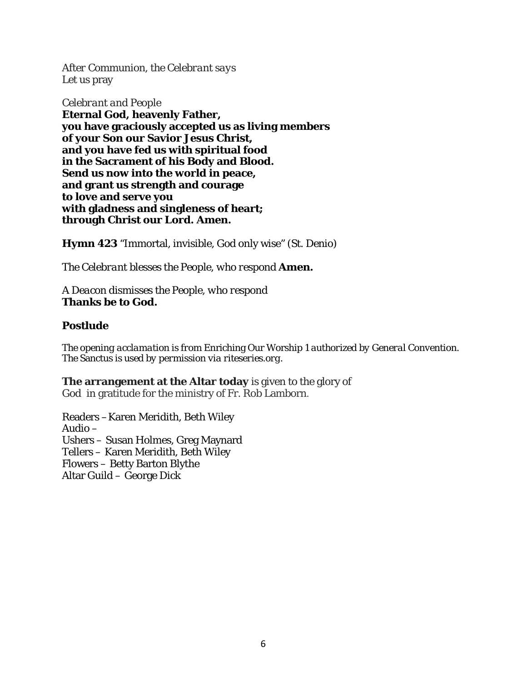*After Communion, the Celebrant says*  Let us pray

*Celebrant and People*  **Eternal God, heavenly Father, you have graciously accepted us as living members of your Son our Savior Jesus Christ, and you have fed us with spiritual food in the Sacrament of his Body and Blood. Send us now into the world in peace, and grant us strength and courage to love and serve you with gladness and singleness of heart; through Christ our Lord. Amen.** 

**Hymn 423** "Immortal, invisible, God only wise" (*St. Denio*)

*The Celebrant blesses the People, who respond* **Amen.** 

*A Deacon dismisses the People, who respond*  **Thanks be to God.** 

# **Postlude**

*The opening acclamation is from* Enriching Our Worship 1 *authorized by General Convention. The* Sanctus *is used by permission via riteseries.org.* 

**The arrangement at the Altar today** is given to the glory of God in gratitude for the ministry of Fr. Rob Lamborn.

Readers –Karen Meridith, Beth Wiley Audio – Ushers – Susan Holmes, Greg Maynard Tellers – Karen Meridith, Beth Wiley Flowers – Betty Barton Blythe Altar Guild – George Dick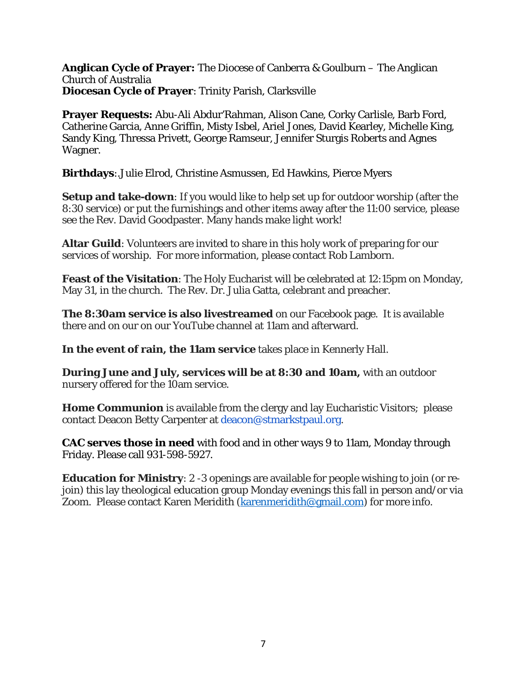**Anglican Cycle of Prayer:** The Diocese of Canberra & Goulburn – The Anglican Church of Australia **Diocesan Cycle of Prayer**: Trinity Parish, Clarksville

**Prayer Requests:** Abu-Ali Abdur'Rahman, Alison Cane, Corky Carlisle, Barb Ford, Catherine Garcia, Anne Griffin, Misty Isbel, Ariel Jones, David Kearley, Michelle King, Sandy King, Thressa Privett, George Ramseur, Jennifer Sturgis Roberts and Agnes Wagner.

**Birthdays**:.Julie Elrod, Christine Asmussen, Ed Hawkins, Pierce Myers

**Setup and take-down**: If you would like to help set up for outdoor worship (after the 8:30 service) or put the furnishings and other items away after the 11:00 service, please see the Rev. David Goodpaster. Many hands make light work!

**Altar Guild**: Volunteers are invited to share in this holy work of preparing for our services of worship. For more information, please contact Rob Lamborn.

**Feast of the Visitation**: The Holy Eucharist will be celebrated at 12:15pm on Monday, May 31, in the church. The Rev. Dr. Julia Gatta, celebrant and preacher.

**The 8:30am service is also livestreamed** on our Facebook page. It is available there and on our on our YouTube channel at 11am and afterward.

**In the event of rain, the 11am service** takes place in Kennerly Hall.

**During June and July, services will be at 8:30 and 10am,** with an outdoor nursery offered for the 10am service.

**Home Communion** is available from the clergy and lay Eucharistic Visitors; please contact Deacon Betty Carpenter at deacon@stmarkstpaul.org.

**CAC serves those in need** with food and in other ways 9 to 11am, Monday through Friday. Please call 931-598-5927.

**Education for Ministry**: 2 -3 openings are available for people wishing to join (or rejoin) this lay theological education group Monday evenings this fall in person and/or via Zoom. Please contact Karen Meridith (karenmeridith@gmail.com) for more info.